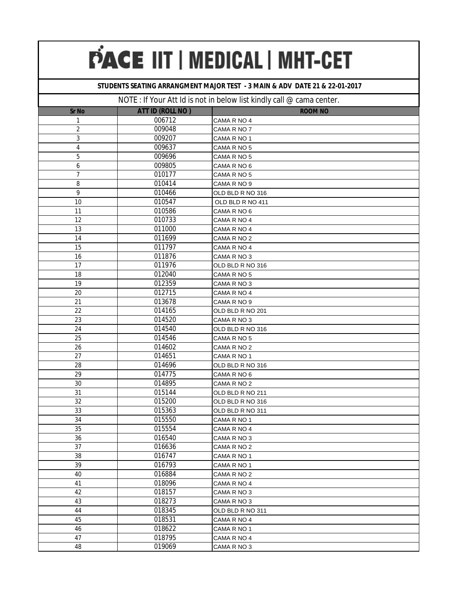### **STUDENTS SEATING ARRANGMENT MAJOR TEST - 3 MAIN & ADV DATE 21 & 22-01-2017**

| <b>Sr No</b>   | ATT ID (ROLL NO) | <b>ROOM NO</b>   |
|----------------|------------------|------------------|
| 1              | 006712           | CAMA R NO 4      |
| 2              | 009048           | CAMA R NO 7      |
| 3              | 009207           | CAMA R NO 1      |
| $\overline{4}$ | 009637           | CAMA R NO 5      |
| 5              | 009696           | CAMA R NO 5      |
| 6              | 009805           | CAMA R NO 6      |
| 7              | 010177           | CAMA R NO 5      |
| 8              | 010414           | CAMA R NO 9      |
| 9              | 010466           | OLD BLD R NO 316 |
| 10             | 010547           | OLD BLD R NO 411 |
| 11             | 010586           | CAMA R NO 6      |
| 12             | 010733           | CAMA R NO 4      |
| 13             | 011000           | CAMA R NO 4      |
| 14             | 011699           | CAMA R NO 2      |
| 15             | 011797           | CAMA R NO 4      |
| 16             | 011876           | CAMA R NO 3      |
| 17             | 011976           | OLD BLD R NO 316 |
| 18             | 012040           | CAMA R NO 5      |
| 19             | 012359           | CAMA R NO 3      |
| 20             | 012715           | CAMA R NO 4      |
| 21             | 013678           | CAMA R NO 9      |
| 22             | 014165           | OLD BLD R NO 201 |
| 23             | 014520           | CAMA R NO 3      |
| 24             | 014540           | OLD BLD R NO 316 |
| 25             | 014546           | CAMA R NO 5      |
| 26             | 014602           | CAMA R NO 2      |
| 27             | 014651           | CAMA R NO 1      |
| 28             | 014696           | OLD BLD R NO 316 |
| 29             | 014775           | CAMA R NO 6      |
| 30             | 014895           | CAMA R NO 2      |
| 31             | 015144           | OLD BLD R NO 211 |
| 32             | 015200           | OLD BLD R NO 316 |
| 33             | 015363           | OLD BLD R NO 311 |
| 34             | 015550           | CAMA R NO 1      |
| 35             | 015554           | CAMA R NO 4      |
| 36             | 016540           | CAMA R NO 3      |
| 37             | 016636           | CAMA R NO 2      |
| 38             | 016747           | CAMA R NO 1      |
| 39             | 016793           | CAMA R NO 1      |
| 40             | 016884           | CAMA R NO 2      |
| 41             | 018096           | CAMA R NO 4      |
| 42             | 018157           | CAMA R NO 3      |
| 43             | 018273           | CAMA R NO 3      |
| 44             | 018345           | OLD BLD R NO 311 |
| 45             | 018531           | CAMA R NO 4      |
| 46             | 018622           | CAMA R NO 1      |
| 47             | 018795           | CAMA R NO 4      |
| 48             | 019069           | CAMA R NO 3      |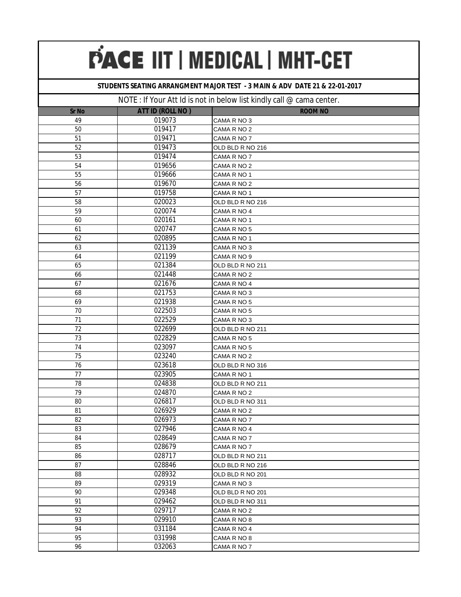### **STUDENTS SEATING ARRANGMENT MAJOR TEST - 3 MAIN & ADV DATE 21 & 22-01-2017**

| <b>Sr No</b> | ATT ID (ROLL NO) | <b>ROOM NO</b>   |
|--------------|------------------|------------------|
| 49           | 019073           | CAMA R NO 3      |
| 50           | 019417           | CAMA R NO 2      |
| 51           | 019471           | CAMA R NO 7      |
| 52           | 019473           | OLD BLD R NO 216 |
| 53           | 019474           | CAMA R NO 7      |
| 54           | 019656           | CAMA R NO 2      |
| 55           | 019666           | CAMA R NO 1      |
| 56           | 019670           | CAMA R NO 2      |
| 57           | 019758           | CAMA R NO 1      |
| 58           | 020023           | OLD BLD R NO 216 |
| 59           | 020074           | CAMA R NO 4      |
| 60           | 020161           | CAMA R NO 1      |
| 61           | 020747           | CAMA R NO 5      |
| 62           | 020895           | CAMA R NO 1      |
| 63           | 021139           | CAMA R NO 3      |
| 64           | 021199           | CAMA R NO 9      |
| 65           | 021384           | OLD BLD R NO 211 |
| 66           | 021448           | CAMA R NO 2      |
| 67           | 021676           | CAMA R NO 4      |
| 68           | 021753           | CAMA R NO 3      |
| 69           | 021938           | CAMA R NO 5      |
| 70           | 022503           | CAMA R NO 5      |
| 71           | 022529           | CAMA R NO 3      |
| 72           | 022699           | OLD BLD R NO 211 |
| 73           | 022829           | CAMA R NO 5      |
| 74           | 023097           | CAMA R NO 5      |
| 75           | 023240           | CAMA R NO 2      |
| 76           | 023618           | OLD BLD R NO 316 |
| 77           | 023905           | CAMA R NO 1      |
| 78           | 024838           | OLD BLD R NO 211 |
| 79           | 024870           | CAMA R NO 2      |
| 80           | 026817           | OLD BLD R NO 311 |
| 81           | 026929           | CAMA R NO 2      |
| 82           | 026973           | CAMA R NO 7      |
| 83           | 027946           | CAMA R NO 4      |
| 84           | 028649           | CAMA R NO 7      |
| 85           | 028679           | CAMA R NO 7      |
| 86           | 028717           | OLD BLD R NO 211 |
| 87           | 028846           | OLD BLD R NO 216 |
| 88           | 028932           | OLD BLD R NO 201 |
| 89           | 029319           | CAMA R NO 3      |
| 90           | 029348           | OLD BLD R NO 201 |
| 91           | 029462           | OLD BLD R NO 311 |
| 92           | 029717           | CAMA R NO 2      |
| 93           | 029910           | CAMA R NO 8      |
| 94           | 031184           | CAMA R NO 4      |
| 95           | 031998           | CAMA R NO 8      |
| 96           | 032063           | CAMA R NO 7      |
|              |                  |                  |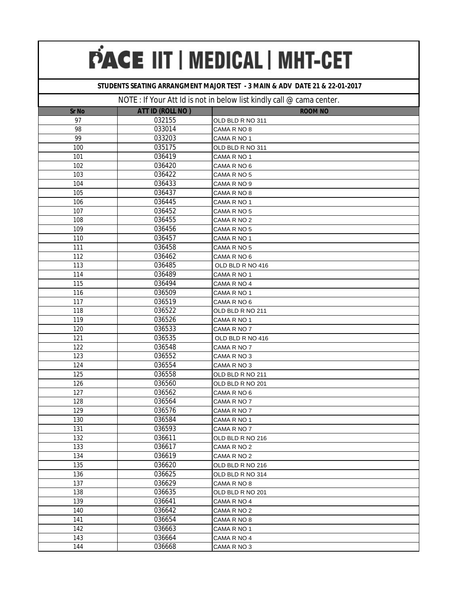### **STUDENTS SEATING ARRANGMENT MAJOR TEST - 3 MAIN & ADV DATE 21 & 22-01-2017**

| <b>Sr No</b> | ATT ID (ROLL NO) | <b>ROOM NO</b>   |
|--------------|------------------|------------------|
| 97           | 032155           | OLD BLD R NO 311 |
| 98           | 033014           | CAMA R NO 8      |
| 99           | 033203           | CAMA R NO 1      |
| 100          | 035175           | OLD BLD R NO 311 |
| 101          | 036419           | CAMA R NO 1      |
| 102          | 036420           | CAMA R NO 6      |
| 103          | 036422           | CAMA R NO 5      |
| 104          | 036433           | CAMA R NO 9      |
| 105          | 036437           | CAMA R NO 8      |
| 106          | 036445           | CAMA R NO 1      |
| 107          | 036452           | CAMA R NO 5      |
| 108          | 036455           | CAMA R NO 2      |
| 109          | 036456           | CAMA R NO 5      |
| 110          | 036457           | CAMA R NO 1      |
| 111          | 036458           | CAMA R NO 5      |
| 112          | 036462           | CAMA R NO 6      |
| 113          | 036485           | OLD BLD R NO 416 |
| 114          | 036489           | CAMA R NO 1      |
| 115          | 036494           | CAMA R NO 4      |
| 116          | 036509           | CAMA R NO 1      |
| 117          | 036519           | CAMA R NO 6      |
| 118          | 036522           | OLD BLD R NO 211 |
| 119          | 036526           | CAMA R NO 1      |
| 120          | 036533           | CAMA R NO 7      |
| 121          | 036535           | OLD BLD R NO 416 |
| 122          | 036548           | CAMA R NO 7      |
| 123          | 036552           | CAMA R NO 3      |
| 124          | 036554           | CAMA R NO 3      |
| 125          | 036558           | OLD BLD R NO 211 |
| 126          | 036560           | OLD BLD R NO 201 |
| 127          | 036562           | CAMA R NO 6      |
| 128          | 036564           | CAMA R NO 7      |
| 129          | 036576           | CAMA R NO 7      |
| 130          | 036584           | CAMA R NO 1      |
| 131          | 036593           | CAMA R NO 7      |
| 132          | 036611           | OLD BLD R NO 216 |
| 133          | 036617           | CAMA R NO 2      |
| 134          | 036619           | CAMA R NO 2      |
| 135          | 036620           | OLD BLD R NO 216 |
| 136          | 036625           | OLD BLD R NO 314 |
| 137          | 036629           | CAMA R NO 8      |
| 138          | 036635           | OLD BLD R NO 201 |
| 139          | 036641           | CAMA R NO 4      |
| 140          | 036642           | CAMA R NO 2      |
| 141          | 036654           | CAMA R NO 8      |
| 142          | 036663           | CAMA R NO 1      |
| 143          | 036664           | CAMA R NO 4      |
| 144          | 036668           | CAMA R NO 3      |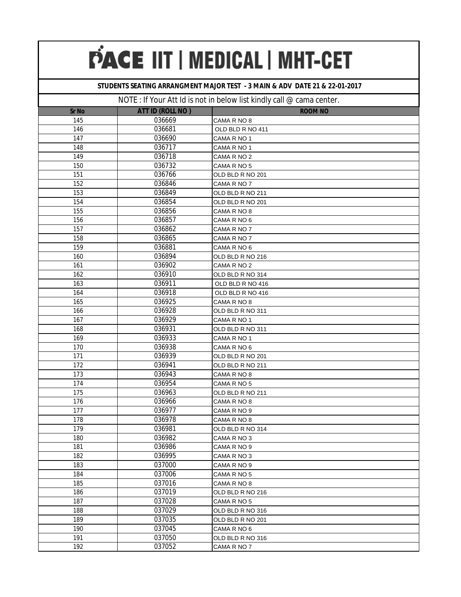### **STUDENTS SEATING ARRANGMENT MAJOR TEST - 3 MAIN & ADV DATE 21 & 22-01-2017**

| <b>Sr No</b> | ATT ID (ROLL NO) | <b>ROOM NO</b>   |
|--------------|------------------|------------------|
| 145          | 036669           | CAMA R NO 8      |
| 146          | 036681           | OLD BLD R NO 411 |
| 147          | 036690           | CAMA R NO 1      |
| 148          | 036717           | CAMA R NO 1      |
| 149          | 036718           | CAMA R NO 2      |
| 150          | 036732           | CAMA R NO 5      |
| 151          | 036766           | OLD BLD R NO 201 |
| 152          | 036846           | CAMA R NO 7      |
| 153          | 036849           | OLD BLD R NO 211 |
| 154          | 036854           | OLD BLD R NO 201 |
| 155          | 036856           | CAMA R NO 8      |
| 156          | 036857           | CAMA R NO 6      |
| 157          | 036862           | CAMA R NO 7      |
| 158          | 036865           | CAMA R NO 7      |
| 159          | 036881           | CAMA R NO 6      |
| 160          | 036894           | OLD BLD R NO 216 |
| 161          | 036902           | CAMA R NO 2      |
| 162          | 036910           | OLD BLD R NO 314 |
| 163          | 036911           | OLD BLD R NO 416 |
| 164          | 036918           | OLD BLD R NO 416 |
| 165          | 036925           | CAMA R NO 8      |
| 166          | 036928           | OLD BLD R NO 311 |
| 167          | 036929           | CAMA R NO 1      |
| 168          | 036931           | OLD BLD R NO 311 |
| 169          | 036933           | CAMA R NO 1      |
| 170          | 036938           | CAMA R NO 6      |
| 171          | 036939           | OLD BLD R NO 201 |
| 172          | 036941           | OLD BLD R NO 211 |
| 173          | 036943           | CAMA R NO 8      |
| 174          | 036954           | CAMA R NO 5      |
| 175          | 036963           | OLD BLD R NO 211 |
| 176          | 036966           | CAMA R NO 8      |
| 177          | 036977           | CAMA R NO 9      |
| 178          | 036978           | CAMA R NO 8      |
| 179          | 036981           | OLD BLD R NO 314 |
| 180          | 036982           | CAMA R NO 3      |
| 181          | 036986           | CAMA R NO 9      |
| 182          | 036995           | CAMA R NO 3      |
| 183          | 037000           | CAMA R NO 9      |
| 184          | 037006           | CAMA R NO 5      |
| 185          | 037016           | CAMA R NO 8      |
| 186          | 037019           | OLD BLD R NO 216 |
| 187          | 037028           | CAMA R NO 5      |
| 188          | 037029           | OLD BLD R NO 316 |
| 189          | 037035           | OLD BLD R NO 201 |
| 190          | 037045           | CAMA R NO 6      |
| 191          | 037050           | OLD BLD R NO 316 |
| 192          | 037052           | CAMA R NO 7      |
|              |                  |                  |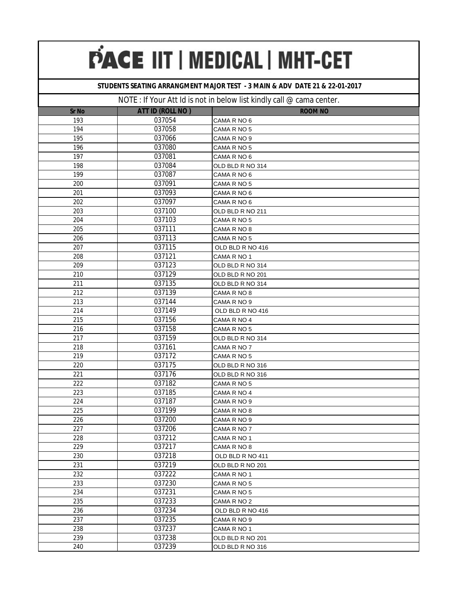### **STUDENTS SEATING ARRANGMENT MAJOR TEST - 3 MAIN & ADV DATE 21 & 22-01-2017**

| <b>Sr No</b> | ATT ID (ROLL NO) | <b>ROOM NO</b>   |
|--------------|------------------|------------------|
| 193          | 037054           | CAMA R NO 6      |
| 194          | 037058           | CAMA R NO 5      |
| 195          | 037066           | CAMA R NO 9      |
| 196          | 037080           | CAMA R NO 5      |
| 197          | 037081           | CAMA R NO 6      |
| 198          | 037084           | OLD BLD R NO 314 |
| 199          | 037087           | CAMA R NO 6      |
| 200          | 037091           | CAMA R NO 5      |
| 201          | 037093           | CAMA R NO 6      |
| 202          | 037097           | CAMA R NO 6      |
| 203          | 037100           | OLD BLD R NO 211 |
| 204          | 037103           | CAMA R NO 5      |
| 205          | 037111           | CAMA R NO 8      |
| 206          | 037113           | CAMA R NO 5      |
| 207          | 037115           | OLD BLD R NO 416 |
| 208          | 037121           | CAMA R NO 1      |
| 209          | 037123           | OLD BLD R NO 314 |
| 210          | 037129           | OLD BLD R NO 201 |
| 211          | 037135           | OLD BLD R NO 314 |
| 212          | 037139           | CAMA R NO 8      |
| 213          | 037144           | CAMA R NO 9      |
| 214          | 037149           | OLD BLD R NO 416 |
| 215          | 037156           | CAMA R NO 4      |
| 216          | 037158           | CAMA R NO 5      |
| 217          | 037159           | OLD BLD R NO 314 |
| 218          | 037161           | CAMA R NO 7      |
| 219          | 037172           | CAMA R NO 5      |
| 220          | 037175           | OLD BLD R NO 316 |
| 221          | 037176           | OLD BLD R NO 316 |
| 222          | 037182           | CAMA R NO 5      |
| 223          | 037185           | CAMA R NO 4      |
| 224          | 037187           | CAMA R NO 9      |
| 225          | 037199           | CAMA R NO 8      |
| 226          | 037200           | CAMA R NO 9      |
| 227          | 037206           | CAMA R NO 7      |
| 228          | 037212           | CAMA R NO 1      |
| 229          | 037217           | CAMA R NO 8      |
| 230          | 037218           | OLD BLD R NO 411 |
| 231          | 037219           | OLD BLD R NO 201 |
| 232          | 037222           | CAMA R NO 1      |
| 233          | 037230           | CAMA R NO 5      |
| 234          | 037231           | CAMA R NO 5      |
| 235          | 037233           | CAMA R NO 2      |
| 236          | 037234           | OLD BLD R NO 416 |
| 237          | 037235           | CAMA R NO 9      |
| 238          | 037237           | CAMA R NO 1      |
| 239          | 037238           | OLD BLD R NO 201 |
| 240          | 037239           | OLD BLD R NO 316 |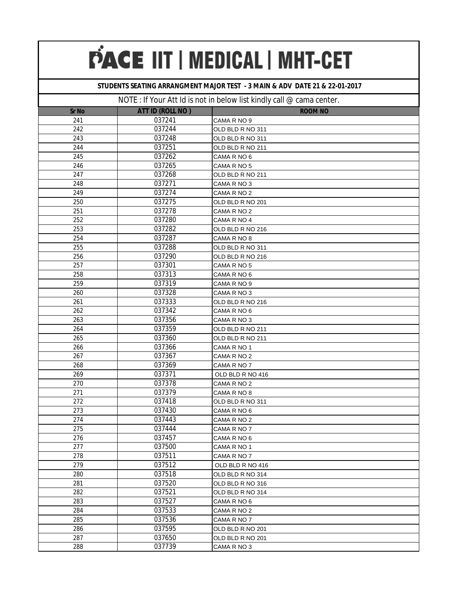### **STUDENTS SEATING ARRANGMENT MAJOR TEST - 3 MAIN & ADV DATE 21 & 22-01-2017**

|              |                  | $\sim$ . $\sim$ . The state is not in bolon first mining value banna volitor. |
|--------------|------------------|-------------------------------------------------------------------------------|
| <b>Sr No</b> | ATT ID (ROLL NO) | <b>ROOM NO</b>                                                                |
| 241          | 037241           | CAMA R NO 9                                                                   |
| 242          | 037244           | OLD BLD R NO 311                                                              |
| 243          | 037248           | OLD BLD R NO 311                                                              |
| 244          | 037251           | OLD BLD R NO 211                                                              |
| 245          | 037262           | CAMA R NO 6                                                                   |
| 246          | 037265           | CAMA R NO 5                                                                   |
| 247          | 037268           | OLD BLD R NO 211                                                              |
| 248          | 037271           | CAMA R NO 3                                                                   |
| 249          | 037274           | CAMA R NO 2                                                                   |
| 250          | 037275           | OLD BLD R NO 201                                                              |
| 251          | 037278           | CAMA R NO 2                                                                   |
| 252          | 037280           | CAMA R NO 4                                                                   |
| 253          | 037282           | OLD BLD R NO 216                                                              |
| 254          | 037287           | CAMA R NO 8                                                                   |
| 255          | 037288           | OLD BLD R NO 311                                                              |
| 256          | 037290           | OLD BLD R NO 216                                                              |
| 257          | 037301           | CAMA R NO 5                                                                   |
| 258          | 037313           | CAMA R NO 6                                                                   |
| 259          | 037319           | CAMA R NO 9                                                                   |
| 260          | 037328           | CAMA R NO 3                                                                   |
| 261          | 037333           | OLD BLD R NO 216                                                              |
| 262          | 037342           | CAMA R NO 6                                                                   |
| 263          | 037356           | CAMA R NO 3                                                                   |
| 264          | 037359           | OLD BLD R NO 211                                                              |
| 265          | 037360           | OLD BLD R NO 211                                                              |
| 266          | 037366           | CAMA R NO 1                                                                   |
| 267          | 037367           | CAMA R NO 2                                                                   |
| 268          | 037369           | CAMA R NO 7                                                                   |
| 269          | 037371           | OLD BLD R NO 416                                                              |
| 270          | 037378           | CAMA R NO 2                                                                   |
| 271          | 037379           | CAMA R NO 8                                                                   |
| 272          | 037418           | OLD BLD R NO 311                                                              |
| 273          | 037430           | CAMA R NO 6                                                                   |
| 274          | 037443           | CAMA R NO 2                                                                   |
| 275          | 037444           | CAMA R NO 7                                                                   |
| 276          | 037457           | CAMA R NO 6                                                                   |
| 277          | 037500           | CAMA R NO 1                                                                   |
| 278          | 037511           | CAMA R NO 7                                                                   |
| 279          | 037512           | OLD BLD R NO 416                                                              |
| 280          | 037518           | OLD BLD R NO 314                                                              |
| 281          | 037520           | OLD BLD R NO 316                                                              |
| 282          | 037521           | OLD BLD R NO 314                                                              |
| 283          | 037527           | CAMA R NO 6                                                                   |
| 284          | 037533           | CAMA R NO 2                                                                   |
| 285          | 037536           | CAMA R NO 7                                                                   |
| 286          | 037595           | OLD BLD R NO 201                                                              |
| 287          | 037650           | OLD BLD R NO 201                                                              |
| 288          | 037739           | CAMA R NO 3                                                                   |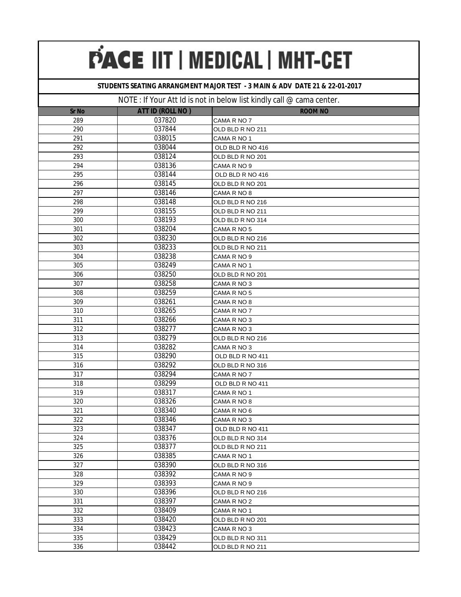### **STUDENTS SEATING ARRANGMENT MAJOR TEST - 3 MAIN & ADV DATE 21 & 22-01-2017**

|              |                  | $10$ and $100$ in the case of the contract $\frac{1}{2}$ band $\frac{1}{2}$ band $\frac{1}{2}$ |
|--------------|------------------|------------------------------------------------------------------------------------------------|
| <b>Sr No</b> | ATT ID (ROLL NO) | <b>ROOM NO</b>                                                                                 |
| 289          | 037820           | CAMA R NO 7                                                                                    |
| 290          | 037844           | OLD BLD R NO 211                                                                               |
| 291          | 038015           | CAMA R NO 1                                                                                    |
| 292          | 038044           | OLD BLD R NO 416                                                                               |
| 293          | 038124           | OLD BLD R NO 201                                                                               |
| 294          | 038136           | CAMA R NO 9                                                                                    |
| 295          | 038144           | OLD BLD R NO 416                                                                               |
| 296          | 038145           | OLD BLD R NO 201                                                                               |
| 297          | 038146           | CAMA R NO 8                                                                                    |
| 298          | 038148           | OLD BLD R NO 216                                                                               |
| 299          | 038155           | OLD BLD R NO 211                                                                               |
| 300          | 038193           | OLD BLD R NO 314                                                                               |
| 301          | 038204           | CAMA R NO 5                                                                                    |
| 302          | 038230           | OLD BLD R NO 216                                                                               |
| 303          | 038233           | OLD BLD R NO 211                                                                               |
| 304          | 038238           | CAMA R NO 9                                                                                    |
| 305          | 038249           | CAMA R NO 1                                                                                    |
| 306          | 038250           | OLD BLD R NO 201                                                                               |
| 307          | 038258           | CAMA R NO 3                                                                                    |
| 308          | 038259           | CAMA R NO 5                                                                                    |
| 309          | 038261           | CAMA R NO 8                                                                                    |
| 310          | 038265           | CAMA R NO 7                                                                                    |
| 311          | 038266           | CAMA R NO 3                                                                                    |
| 312          | 038277           | CAMA R NO 3                                                                                    |
| 313          | 038279           | OLD BLD R NO 216                                                                               |
| 314          | 038282           | CAMA R NO 3                                                                                    |
| 315          | 038290           | OLD BLD R NO 411                                                                               |
| 316          | 038292           | OLD BLD R NO 316                                                                               |
| 317          | 038294           | CAMA R NO 7                                                                                    |
| 318          | 038299           | OLD BLD R NO 411                                                                               |
| 319          | 038317           | CAMA R NO 1                                                                                    |
| 320          | 038326           | CAMA R NO 8                                                                                    |
| 321          | 038340           | CAMA R NO 6                                                                                    |
| 322          | 038346           | CAMA R NO 3                                                                                    |
| 323          | 038347           | OLD BLD R NO 411                                                                               |
| 324          | 038376           | OLD BLD R NO 314                                                                               |
| 325          | 038377           | OLD BLD R NO 211                                                                               |
| 326          | 038385           | CAMA R NO 1                                                                                    |
| 327          | 038390           | OLD BLD R NO 316                                                                               |
| 328          | 038392           | CAMA R NO 9                                                                                    |
| 329          | 038393           | CAMA R NO 9                                                                                    |
| 330          | 038396           | OLD BLD R NO 216                                                                               |
| 331          | 038397           | CAMA R NO 2                                                                                    |
| 332          | 038409           | CAMA R NO 1                                                                                    |
| 333          | 038420           | OLD BLD R NO 201                                                                               |
| 334          | 038423           | CAMA R NO 3                                                                                    |
| 335          | 038429           | OLD BLD R NO 311                                                                               |
| 336          | 038442           | OLD BLD R NO 211                                                                               |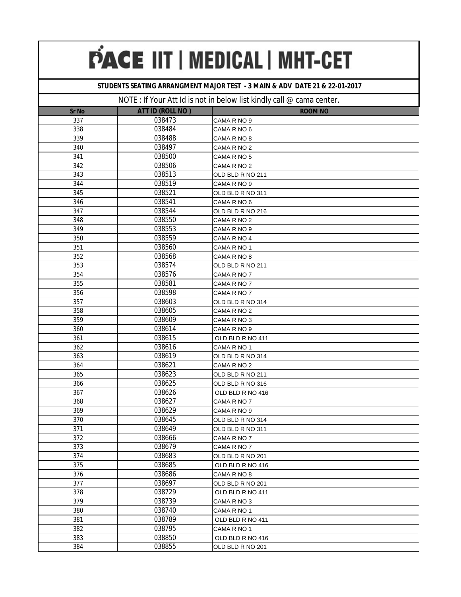### **STUDENTS SEATING ARRANGMENT MAJOR TEST - 3 MAIN & ADV DATE 21 & 22-01-2017**

| <b>Sr No</b> | ATT ID (ROLL NO) | <b>ROOM NO</b>   |
|--------------|------------------|------------------|
| 337          | 038473           | CAMA R NO 9      |
| 338          | 038484           | CAMA R NO 6      |
| 339          | 038488           | CAMA R NO 8      |
| 340          | 038497           | CAMA R NO 2      |
| 341          | 038500           | CAMA R NO 5      |
| 342          | 038506           | CAMA R NO 2      |
| 343          | 038513           | OLD BLD R NO 211 |
| 344          | 038519           | CAMA R NO 9      |
| 345          | 038521           | OLD BLD R NO 311 |
| 346          | 038541           | CAMA R NO 6      |
| 347          | 038544           | OLD BLD R NO 216 |
| 348          | 038550           | CAMA R NO 2      |
| 349          | 038553           | CAMA R NO 9      |
| 350          | 038559           | CAMA R NO 4      |
| 351          | 038560           | CAMA R NO 1      |
| 352          | 038568           | CAMA R NO 8      |
| 353          | 038574           | OLD BLD R NO 211 |
| 354          | 038576           | CAMA R NO 7      |
| 355          | 038581           | CAMA R NO 7      |
| 356          | 038598           | CAMA R NO 7      |
| 357          | 038603           | OLD BLD R NO 314 |
| 358          | 038605           | CAMA R NO 2      |
| 359          | 038609           | CAMA R NO 3      |
| 360          | 038614           | CAMA R NO 9      |
| 361          | 038615           | OLD BLD R NO 411 |
| 362          | 038616           | CAMA R NO 1      |
| 363          | 038619           | OLD BLD R NO 314 |
| 364          | 038621           | CAMA R NO 2      |
| 365          | 038623           | OLD BLD R NO 211 |
| 366          | 038625           | OLD BLD R NO 316 |
| 367          | 038626           | OLD BLD R NO 416 |
| 368          | 038627           | CAMA R NO 7      |
| 369          | 038629           | CAMA R NO 9      |
| 370          | 038645           | OLD BLD R NO 314 |
| 371          | 038649           | OLD BLD R NO 311 |
| 372          | 038666           | CAMA R NO 7      |
| 373          | 038679           | CAMA R NO 7      |
| 374          | 038683           | OLD BLD R NO 201 |
| 375          | 038685           | OLD BLD R NO 416 |
| 376          | 038686           | CAMA R NO 8      |
| 377          | 038697           | OLD BLD R NO 201 |
| 378          | 038729           | OLD BLD R NO 411 |
| 379          | 038739           | CAMA R NO 3      |
| 380          | 038740           | CAMA R NO 1      |
| 381          | 038789           | OLD BLD R NO 411 |
| 382          | 038795           | CAMA R NO 1      |
| 383          | 038850           | OLD BLD R NO 416 |
| 384          | 038855           | OLD BLD R NO 201 |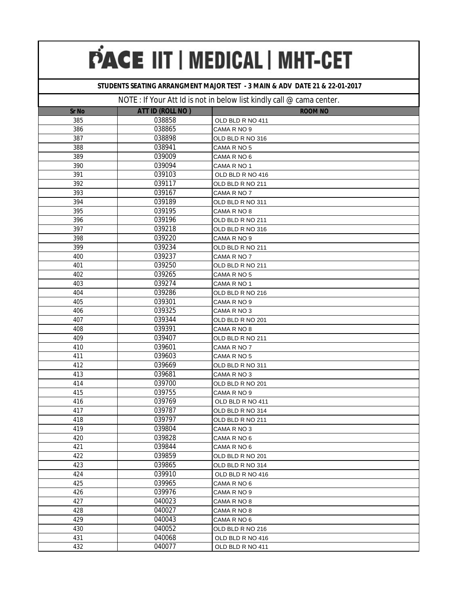### **STUDENTS SEATING ARRANGMENT MAJOR TEST - 3 MAIN & ADV DATE 21 & 22-01-2017**

| <b>Sr No</b> | <b>ATT ID (ROLL NO)</b> | <b>ROOM NO</b>   |
|--------------|-------------------------|------------------|
| 385          | 038858                  | OLD BLD R NO 411 |
| 386          | 038865                  | CAMA R NO 9      |
| 387          | 038898                  | OLD BLD R NO 316 |
| 388          | 038941                  | CAMA R NO 5      |
| 389          | 039009                  | CAMA R NO 6      |
| 390          | 039094                  | CAMA R NO 1      |
| 391          | 039103                  | OLD BLD R NO 416 |
| 392          | 039117                  | OLD BLD R NO 211 |
| 393          | 039167                  | CAMA R NO 7      |
| 394          | 039189                  | OLD BLD R NO 311 |
| 395          | 039195                  | CAMA R NO 8      |
| 396          | 039196                  | OLD BLD R NO 211 |
| 397          | 039218                  | OLD BLD R NO 316 |
| 398          | 039220                  | CAMA R NO 9      |
| 399          | 039234                  | OLD BLD R NO 211 |
| 400          | 039237                  | CAMA R NO 7      |
| 401          | 039250                  | OLD BLD R NO 211 |
| 402          | 039265                  | CAMA R NO 5      |
| 403          | 039274                  | CAMA R NO 1      |
| 404          | 039286                  | OLD BLD R NO 216 |
| 405          | 039301                  | CAMA R NO 9      |
| 406          | 039325                  | CAMA R NO 3      |
| 407          | 039344                  | OLD BLD R NO 201 |
| 408          | 039391                  | CAMA R NO 8      |
| 409          | 039407                  | OLD BLD R NO 211 |
| 410          | 039601                  | CAMA R NO 7      |
| 411          | 039603                  | CAMA R NO 5      |
| 412          | 039669                  | OLD BLD R NO 311 |
| 413          | 039681                  | CAMA R NO 3      |
| 414          | 039700                  | OLD BLD R NO 201 |
| 415          | 039755                  | CAMA R NO 9      |
| 416          | 039769                  | OLD BLD R NO 411 |
| 417          | 039787                  | OLD BLD R NO 314 |
| 418          | 039797                  | OLD BLD R NO 211 |
| 419          | 039804                  | CAMA R NO 3      |
| 420          | 039828                  | CAMA R NO 6      |
| 421          | 039844                  | CAMA R NO 6      |
| 422          | 039859                  | OLD BLD R NO 201 |
| 423          | 039865                  | OLD BLD R NO 314 |
| 424          | 039910                  | OLD BLD R NO 416 |
| 425          | 039965                  | CAMA R NO 6      |
| 426          | 039976                  | CAMA R NO 9      |
| 427          | 040023                  | CAMA R NO 8      |
| 428          | 040027                  | CAMA R NO 8      |
| 429          | 040043                  | CAMA R NO 6      |
| 430          | 040052                  | OLD BLD R NO 216 |
| 431          | 040068                  | OLD BLD R NO 416 |
| 432          | 040077                  | OLD BLD R NO 411 |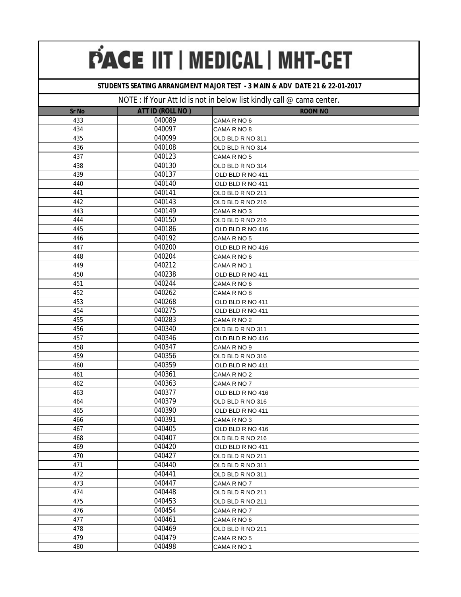### **STUDENTS SEATING ARRANGMENT MAJOR TEST - 3 MAIN & ADV DATE 21 & 22-01-2017**

| <b>Sr No</b> | ATT ID (ROLL NO) | ╯<br><b>ROOM NO</b>        |
|--------------|------------------|----------------------------|
| 433          | 040089           | CAMA R NO 6                |
| 434          | 040097           | CAMA R NO 8                |
| 435          | 040099           | OLD BLD R NO 311           |
| 436          | 040108           | OLD BLD R NO 314           |
| 437          | 040123           | CAMA R NO 5                |
| 438          | 040130           | OLD BLD R NO 314           |
| 439          | 040137           | OLD BLD R NO 411           |
| 440          | 040140           | OLD BLD R NO 411           |
| 441          | 040141           | OLD BLD R NO 211           |
| 442          | 040143           | OLD BLD R NO 216           |
| 443          | 040149           | CAMA R NO 3                |
| 444          | 040150           | OLD BLD R NO 216           |
| 445          | 040186           | OLD BLD R NO 416           |
| 446          | 040192           | CAMA R NO 5                |
| 447          | 040200           | OLD BLD R NO 416           |
| 448          | 040204           | CAMA R NO 6                |
| 449          | 040212           | CAMA R NO 1                |
| 450          | 040238           | OLD BLD R NO 411           |
| 451          | 040244           | CAMA R NO 6                |
| 452          | 040262           | CAMA R NO 8                |
| 453          | 040268           | OLD BLD R NO 411           |
| 454          | 040275           | OLD BLD R NO 411           |
| 455          | 040283           | CAMA R NO 2                |
| 456          | 040340           | OLD BLD R NO 311           |
| 457          | 040346           | OLD BLD R NO 416           |
| 458          | 040347           | CAMA R NO 9                |
| 459          | 040356           | OLD BLD R NO 316           |
| 460          | 040359           | OLD BLD R NO 411           |
| 461          | 040361           | CAMA R NO 2                |
| 462          | 040363           | CAMA R NO 7                |
| 463          | 040377           | OLD BLD R NO 416           |
| 464          | 040379           | OLD BLD R NO 316           |
| 465          | 040390           | OLD BLD R NO 411           |
| 466          | 040391           | CAMA R NO 3                |
| 467          | 040405           | OLD BLD R NO 416           |
| 468          | 040407           | OLD BLD R NO 216           |
| 469          | 040420           | OLD BLD R NO 411           |
| 470          | 040427           | OLD BLD R NO 211           |
| 471          | 040440           | OLD BLD R NO 311           |
| 472          | 040441           | OLD BLD R NO 311           |
| 473          | 040447           | CAMA R NO 7                |
| 474          | 040448           | OLD BLD R NO 211           |
| 475<br>476   | 040453<br>040454 | OLD BLD R NO 211           |
| 477          | 040461           | CAMA R NO 7<br>CAMA R NO 6 |
| 478          | 040469           |                            |
| 479          | 040479           | OLD BLD R NO 211           |
| 480          | 040498           | CAMA R NO 5                |
|              |                  | CAMA R NO 1                |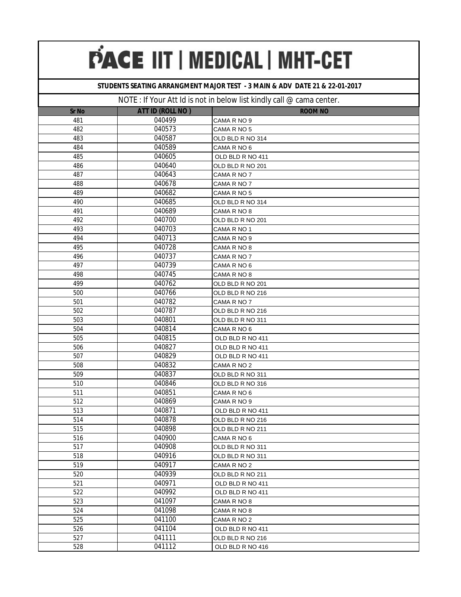### **STUDENTS SEATING ARRANGMENT MAJOR TEST - 3 MAIN & ADV DATE 21 & 22-01-2017**

| Sr No | ATT ID (ROLL NO) | <b>ROOM NO</b>   |
|-------|------------------|------------------|
| 481   | 040499           | CAMA R NO 9      |
| 482   | 040573           | CAMA R NO 5      |
| 483   | 040587           | OLD BLD R NO 314 |
| 484   | 040589           | CAMA R NO 6      |
| 485   | 040605           | OLD BLD R NO 411 |
| 486   | 040640           | OLD BLD R NO 201 |
| 487   | 040643           | CAMA R NO 7      |
| 488   | 040678           | CAMA R NO 7      |
| 489   | 040682           | CAMA R NO 5      |
| 490   | 040685           | OLD BLD R NO 314 |
| 491   | 040689           | CAMA R NO 8      |
| 492   | 040700           | OLD BLD R NO 201 |
| 493   | 040703           | CAMA R NO 1      |
| 494   | 040713           | CAMA R NO 9      |
| 495   | 040728           | CAMA R NO 8      |
| 496   | 040737           | CAMA R NO 7      |
| 497   | 040739           | CAMA R NO 6      |
| 498   | 040745           | CAMA R NO 8      |
| 499   | 040762           | OLD BLD R NO 201 |
| 500   | 040766           | OLD BLD R NO 216 |
| 501   | 040782           | CAMA R NO 7      |
| 502   | 040787           | OLD BLD R NO 216 |
| 503   | 040801           | OLD BLD R NO 311 |
| 504   | 040814           | CAMA R NO 6      |
| 505   | 040815           | OLD BLD R NO 411 |
| 506   | 040827           | OLD BLD R NO 411 |
| 507   | 040829           | OLD BLD R NO 411 |
| 508   | 040832           | CAMA R NO 2      |
| 509   | 040837           | OLD BLD R NO 311 |
| 510   | 040846           | OLD BLD R NO 316 |
| 511   | 040851           | CAMA R NO 6      |
| 512   | 040869           | CAMA R NO 9      |
| 513   | 040871           | OLD BLD R NO 411 |
| 514   | 040878           | OLD BLD R NO 216 |
| 515   | 040898           | OLD BLD R NO 211 |
| 516   | 040900           | CAMA R NO 6      |
| 517   | 040908           | OLD BLD R NO 311 |
| 518   | 040916           | OLD BLD R NO 311 |
| 519   | 040917           | CAMA R NO 2      |
| 520   | 040939           | OLD BLD R NO 211 |
| 521   | 040971           | OLD BLD R NO 411 |
| 522   | 040992           | OLD BLD R NO 411 |
| 523   | 041097           | CAMA R NO 8      |
| 524   | 041098           | CAMA R NO 8      |
| 525   | 041100           | CAMA R NO 2      |
| 526   | 041104           | OLD BLD R NO 411 |
| 527   | 041111           | OLD BLD R NO 216 |
| 528   | 041112           | OLD BLD R NO 416 |
|       |                  |                  |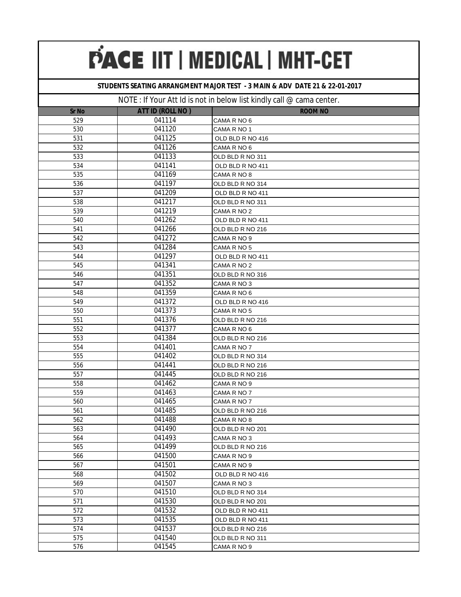### **STUDENTS SEATING ARRANGMENT MAJOR TEST - 3 MAIN & ADV DATE 21 & 22-01-2017**

| Sr No | <b>ATT ID (ROLL NO)</b> | <b>ROOM NO</b>   |
|-------|-------------------------|------------------|
| 529   | 041114                  | CAMA R NO 6      |
| 530   | 041120                  | CAMA R NO 1      |
| 531   | 041125                  | OLD BLD R NO 416 |
| 532   | 041126                  | CAMA R NO 6      |
| 533   | 041133                  | OLD BLD R NO 311 |
| 534   | 041141                  | OLD BLD R NO 411 |
| 535   | 041169                  | CAMA R NO 8      |
| 536   | 041197                  | OLD BLD R NO 314 |
| 537   | 041209                  | OLD BLD R NO 411 |
| 538   | 041217                  | OLD BLD R NO 311 |
| 539   | 041219                  | CAMA R NO 2      |
| 540   | 041262                  | OLD BLD R NO 411 |
| 541   | 041266                  | OLD BLD R NO 216 |
| 542   | 041272                  | CAMA R NO 9      |
| 543   | 041284                  | CAMA R NO 5      |
| 544   | 041297                  | OLD BLD R NO 411 |
| 545   | 041341                  | CAMA R NO 2      |
| 546   | 041351                  | OLD BLD R NO 316 |
| 547   | 041352                  | CAMA R NO 3      |
| 548   | 041359                  | CAMA R NO 6      |
| 549   | 041372                  | OLD BLD R NO 416 |
| 550   | 041373                  | CAMA R NO 5      |
| 551   | 041376                  | OLD BLD R NO 216 |
| 552   | 041377                  | CAMA R NO 6      |
| 553   | 041384                  | OLD BLD R NO 216 |
| 554   | 041401                  | CAMA R NO 7      |
| 555   | 041402                  | OLD BLD R NO 314 |
| 556   | 041441                  | OLD BLD R NO 216 |
| 557   | 041445                  | OLD BLD R NO 216 |
| 558   | 041462                  | CAMA R NO 9      |
| 559   | 041463                  | CAMA R NO 7      |
| 560   | 041465                  | CAMA R NO 7      |
| 561   | 041485                  | OLD BLD R NO 216 |
| 562   | 041488                  | CAMA R NO 8      |
| 563   | 041490                  | OLD BLD R NO 201 |
| 564   | 041493                  | CAMA R NO 3      |
| 565   | 041499                  | OLD BLD R NO 216 |
| 566   | 041500                  | CAMA R NO 9      |
| 567   | 041501                  | CAMA R NO 9      |
| 568   | 041502                  | OLD BLD R NO 416 |
| 569   | 041507                  | CAMA R NO 3      |
| 570   | 041510                  | OLD BLD R NO 314 |
| 571   | 041530                  | OLD BLD R NO 201 |
| 572   | 041532                  | OLD BLD R NO 411 |
| 573   | 041535                  | OLD BLD R NO 411 |
| 574   | 041537                  | OLD BLD R NO 216 |
| 575   | 041540                  | OLD BLD R NO 311 |
| 576   | 041545                  | CAMA R NO 9      |
|       |                         |                  |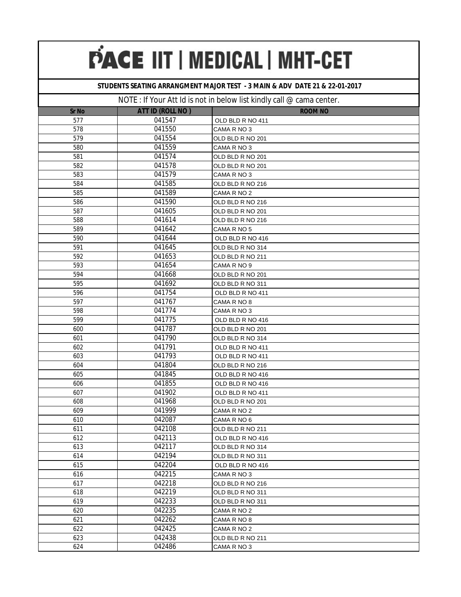### **STUDENTS SEATING ARRANGMENT MAJOR TEST - 3 MAIN & ADV DATE 21 & 22-01-2017**

|              |                  | $\frac{1}{2}$ our $\frac{1}{2}$ is the chiral bottom in the fundal $\frac{1}{2}$ out the bottom is the contract of the contract of the contract of the contract of the contract of the contract of the contract of the contract of the co |
|--------------|------------------|-------------------------------------------------------------------------------------------------------------------------------------------------------------------------------------------------------------------------------------------|
| <b>Sr No</b> | ATT ID (ROLL NO) | <b>ROOM NO</b>                                                                                                                                                                                                                            |
| 577          | 041547           | OLD BLD R NO 411                                                                                                                                                                                                                          |
| 578          | 041550           | CAMA R NO 3                                                                                                                                                                                                                               |
| 579          | 041554           | OLD BLD R NO 201                                                                                                                                                                                                                          |
| 580          | 041559           | CAMA R NO 3                                                                                                                                                                                                                               |
| 581          | 041574           | OLD BLD R NO 201                                                                                                                                                                                                                          |
| 582          | 041578           | OLD BLD R NO 201                                                                                                                                                                                                                          |
| 583          | 041579           | CAMA R NO 3                                                                                                                                                                                                                               |
| 584          | 041585           | OLD BLD R NO 216                                                                                                                                                                                                                          |
| 585          | 041589           | CAMA R NO 2                                                                                                                                                                                                                               |
| 586          | 041590           | OLD BLD R NO 216                                                                                                                                                                                                                          |
| 587          | 041605           | OLD BLD R NO 201                                                                                                                                                                                                                          |
| 588          | 041614           | OLD BLD R NO 216                                                                                                                                                                                                                          |
| 589          | 041642           | CAMA R NO 5                                                                                                                                                                                                                               |
| 590          | 041644           | OLD BLD R NO 416                                                                                                                                                                                                                          |
| 591          | 041645           | OLD BLD R NO 314                                                                                                                                                                                                                          |
| 592          | 041653           | OLD BLD R NO 211                                                                                                                                                                                                                          |
| 593          | 041654           | CAMA R NO 9                                                                                                                                                                                                                               |
| 594          | 041668           | OLD BLD R NO 201                                                                                                                                                                                                                          |
| 595          | 041692           | OLD BLD R NO 311                                                                                                                                                                                                                          |
| 596          | 041754           | OLD BLD R NO 411                                                                                                                                                                                                                          |
| 597          | 041767           | CAMA R NO 8                                                                                                                                                                                                                               |
| 598          | 041774           | CAMA R NO 3                                                                                                                                                                                                                               |
| 599          | 041775           | OLD BLD R NO 416                                                                                                                                                                                                                          |
| 600          | 041787           | OLD BLD R NO 201                                                                                                                                                                                                                          |
| 601          | 041790           | OLD BLD R NO 314                                                                                                                                                                                                                          |
| 602          | 041791           | OLD BLD R NO 411                                                                                                                                                                                                                          |
| 603          | 041793           | OLD BLD R NO 411                                                                                                                                                                                                                          |
| 604          | 041804           | OLD BLD R NO 216                                                                                                                                                                                                                          |
| 605          | 041845           | OLD BLD R NO 416                                                                                                                                                                                                                          |
| 606          | 041855           | OLD BLD R NO 416                                                                                                                                                                                                                          |
| 607          | 041902           | OLD BLD R NO 411                                                                                                                                                                                                                          |
| 608          | 041968           | OLD BLD R NO 201                                                                                                                                                                                                                          |
| 609          | 041999           | CAMA R NO 2                                                                                                                                                                                                                               |
| 610          | 042087           | CAMA R NO 6                                                                                                                                                                                                                               |
| 611          | 042108           | OLD BLD R NO 211                                                                                                                                                                                                                          |
| 612          | 042113           | OLD BLD R NO 416                                                                                                                                                                                                                          |
| 613          | 042117           | OLD BLD R NO 314                                                                                                                                                                                                                          |
| 614          | 042194           | OLD BLD R NO 311                                                                                                                                                                                                                          |
| 615          | 042204           | OLD BLD R NO 416                                                                                                                                                                                                                          |
| 616          | 042215           | CAMA R NO 3                                                                                                                                                                                                                               |
| 617          | 042218           | OLD BLD R NO 216                                                                                                                                                                                                                          |
| 618          | 042219           | OLD BLD R NO 311                                                                                                                                                                                                                          |
| 619          | 042233           | OLD BLD R NO 311                                                                                                                                                                                                                          |
| 620          | 042235           | CAMA R NO 2                                                                                                                                                                                                                               |
| 621          | 042262           | CAMA R NO 8                                                                                                                                                                                                                               |
| 622          | 042425           | CAMA R NO 2                                                                                                                                                                                                                               |
| 623          | 042438           | OLD BLD R NO 211                                                                                                                                                                                                                          |
| 624          | 042486           | CAMA R NO 3                                                                                                                                                                                                                               |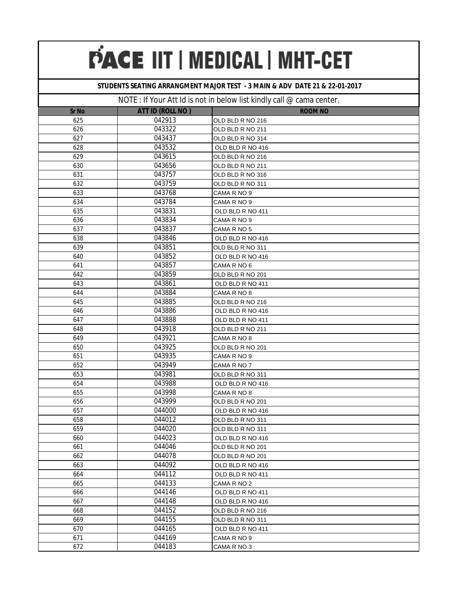### **STUDENTS SEATING ARRANGMENT MAJOR TEST - 3 MAIN & ADV DATE 21 & 22-01-2017**

|        | $\frac{1}{2}$ can rive to the chiral solon first furtury can be cannot be |
|--------|---------------------------------------------------------------------------|
|        | <b>ROOM NO</b>                                                            |
|        | OLD BLD R NO 216                                                          |
| 043322 | OLD BLD R NO 211                                                          |
|        | OLD BLD R NO 314                                                          |
|        | OLD BLD R NO 416                                                          |
|        | OLD BLD R NO 216                                                          |
|        | OLD BLD R NO 211                                                          |
| 043757 | OLD BLD R NO 316                                                          |
| 043759 | OLD BLD R NO 311                                                          |
| 043768 | CAMA R NO 9                                                               |
| 043784 | CAMA R NO 9                                                               |
| 043831 | OLD BLD R NO 411                                                          |
| 043834 | CAMA R NO 9                                                               |
| 043837 | CAMA R NO 5                                                               |
| 043846 | OLD BLD R NO 416                                                          |
| 043851 | OLD BLD R NO 311                                                          |
| 043852 | OLD BLD R NO 416                                                          |
| 043857 | CAMA R NO 6                                                               |
| 043859 | OLD BLD R NO 201                                                          |
| 043861 | OLD BLD R NO 411                                                          |
| 043884 | CAMA R NO 8                                                               |
| 043885 | OLD BLD R NO 216                                                          |
| 043886 | OLD BLD R NO 416                                                          |
| 043888 | OLD BLD R NO 411                                                          |
| 043918 | OLD BLD R NO 211                                                          |
| 043921 | CAMA R NO 8                                                               |
| 043925 | OLD BLD R NO 201                                                          |
| 043935 | CAMA R NO 9                                                               |
| 043949 | CAMA R NO 7                                                               |
| 043981 | OLD BLD R NO 311                                                          |
| 043988 | OLD BLD R NO 416                                                          |
| 043998 | CAMA R NO 8                                                               |
| 043999 | OLD BLD R NO 201                                                          |
| 044000 | OLD BLD R NO 416                                                          |
| 044012 | OLD BLD R NO 311                                                          |
| 044020 | OLD BLD R NO 311                                                          |
| 044023 | OLD BLD R NO 416                                                          |
| 044046 | OLD BLD R NO 201                                                          |
| 044078 | OLD BLD R NO 201                                                          |
| 044092 | OLD BLD R NO 416                                                          |
| 044112 | OLD BLD R NO 411                                                          |
| 044133 | CAMA R NO 2                                                               |
| 044146 | OLD BLD R NO 411                                                          |
| 044148 | OLD BLD R NO 416                                                          |
| 044152 | OLD BLD R NO 216                                                          |
| 044155 | OLD BLD R NO 311                                                          |
| 044165 | OLD BLD R NO 411                                                          |
| 044169 | CAMA R NO 9                                                               |
| 044183 | CAMA R NO 3                                                               |
|        | ATT ID (ROLL NO)<br>042913<br>043437<br>043532<br>043615<br>043656        |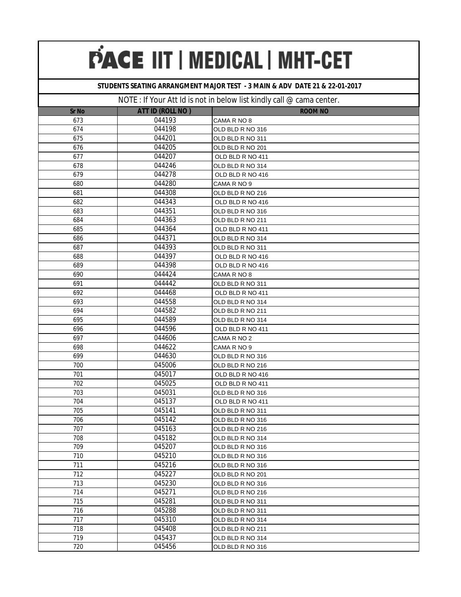### **STUDENTS SEATING ARRANGMENT MAJOR TEST - 3 MAIN & ADV DATE 21 & 22-01-2017**

| <b>Sr No</b> | ATT ID (ROLL NO) | <b>ROOM NO</b>   |
|--------------|------------------|------------------|
| 673          | 044193           | CAMA R NO 8      |
| 674          | 044198           | OLD BLD R NO 316 |
| 675          | 044201           | OLD BLD R NO 311 |
| 676          | 044205           | OLD BLD R NO 201 |
| 677          | 044207           | OLD BLD R NO 411 |
| 678          | 044246           | OLD BLD R NO 314 |
| 679          | 044278           | OLD BLD R NO 416 |
| 680          | 044280           | CAMA R NO 9      |
| 681          | 044308           | OLD BLD R NO 216 |
| 682          | 044343           | OLD BLD R NO 416 |
| 683          | 044351           | OLD BLD R NO 316 |
| 684          | 044363           | OLD BLD R NO 211 |
| 685          | 044364           | OLD BLD R NO 411 |
| 686          | 044371           | OLD BLD R NO 314 |
| 687          | 044393           | OLD BLD R NO 311 |
| 688          | 044397           | OLD BLD R NO 416 |
| 689          | 044398           | OLD BLD R NO 416 |
| 690          | 044424           | CAMA R NO 8      |
| 691          | 044442           | OLD BLD R NO 311 |
| 692          | 044468           | OLD BLD R NO 411 |
| 693          | 044558           | OLD BLD R NO 314 |
| 694          | 044582           | OLD BLD R NO 211 |
| 695          | 044589           | OLD BLD R NO 314 |
| 696          | 044596           | OLD BLD R NO 411 |
| 697          | 044606           | CAMA R NO 2      |
| 698          | 044622           | CAMA R NO 9      |
| 699          | 044630           | OLD BLD R NO 316 |
| 700          | 045006           | OLD BLD R NO 216 |
| 701          | 045017           | OLD BLD R NO 416 |
| 702          | 045025           | OLD BLD R NO 411 |
| 703          | 045031           | OLD BLD R NO 316 |
| 704          | 045137           | OLD BLD R NO 411 |
| 705          | 045141           | OLD BLD R NO 311 |
| 706          | 045142           | OLD BLD R NO 316 |
| 707          | 045163           | OLD BLD R NO 216 |
| 708          | 045182           | OLD BLD R NO 314 |
| 709          | 045207           | OLD BLD R NO 316 |
| 710          | 045210           | OLD BLD R NO 316 |
| 711          | 045216           | OLD BLD R NO 316 |
| 712          | 045227           | OLD BLD R NO 201 |
| 713          | 045230           | OLD BLD R NO 316 |
| 714          | 045271           | OLD BLD R NO 216 |
| 715          | 045281           | OLD BLD R NO 311 |
| 716          | 045288           | OLD BLD R NO 311 |
| 717          | 045310           | OLD BLD R NO 314 |
| 718          | 045408           | OLD BLD R NO 211 |
| 719          | 045437           | OLD BLD R NO 314 |
| 720          | 045456           | OLD BLD R NO 316 |